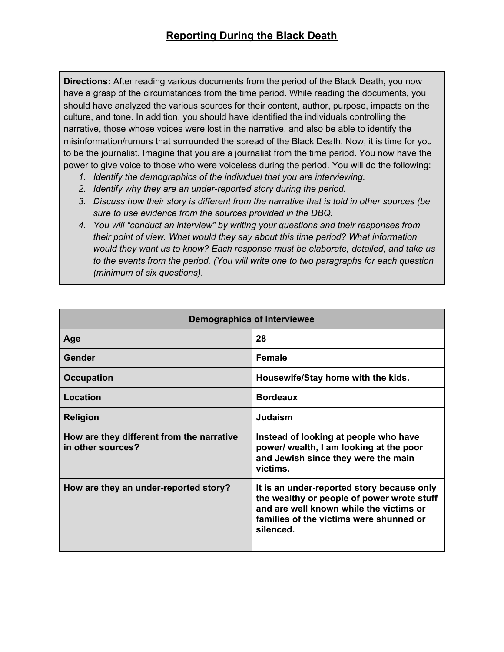**Directions:** After reading various documents from the period of the Black Death, you now have a grasp of the circumstances from the time period. While reading the documents, you should have analyzed the various sources for their content, author, purpose, impacts on the culture, and tone. In addition, you should have identified the individuals controlling the narrative, those whose voices were lost in the narrative, and also be able to identify the misinformation/rumors that surrounded the spread of the Black Death. Now, it is time for you to be the journalist. Imagine that you are a journalist from the time period. You now have the power to give voice to those who were voiceless during the period. You will do the following:

- *1. Identify the demographics of the individual that you are interviewing.*
- *2. Identify why they are an under-reported story during the period.*
- *3. Discuss how their story is different from the narrative that is told in other sources (be sure to use evidence from the sources provided in the DBQ.*
- *4. You will "conduct an interview" by writing your questions and their responses from their point of view. What would they say about this time period? What information would they want us to know? Each response must be elaborate, detailed, and take us to the events from the period. (You will write one to two paragraphs for each question (minimum of six questions).*

| <b>Demographics of Interviewee</b>                             |                                                                                                                                                                                             |
|----------------------------------------------------------------|---------------------------------------------------------------------------------------------------------------------------------------------------------------------------------------------|
| Age                                                            | 28                                                                                                                                                                                          |
| Gender                                                         | <b>Female</b>                                                                                                                                                                               |
| <b>Occupation</b>                                              | Housewife/Stay home with the kids.                                                                                                                                                          |
| Location                                                       | <b>Bordeaux</b>                                                                                                                                                                             |
| <b>Religion</b>                                                | Judaism                                                                                                                                                                                     |
| How are they different from the narrative<br>in other sources? | Instead of looking at people who have<br>power/ wealth, I am looking at the poor<br>and Jewish since they were the main<br>victims.                                                         |
| How are they an under-reported story?                          | It is an under-reported story because only<br>the wealthy or people of power wrote stuff<br>and are well known while the victims or<br>families of the victims were shunned or<br>silenced. |